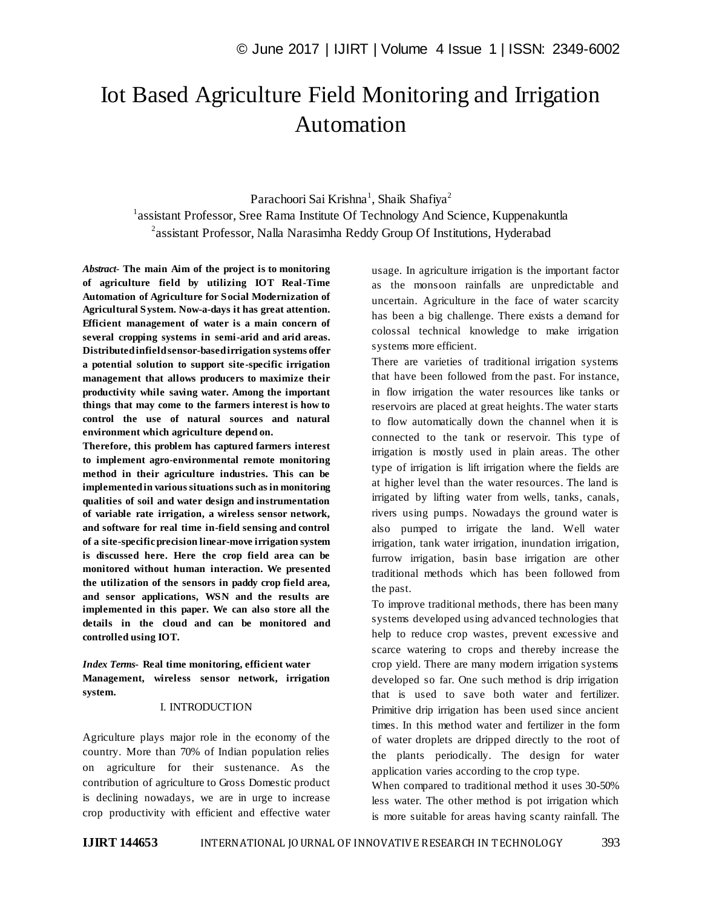# Iot Based Agriculture Field Monitoring and Irrigation Automation

Parachoori Sai Krishna<sup>1</sup>, Shaik Shafiya<sup>2</sup> <sup>1</sup>assistant Professor, Sree Rama Institute Of Technology And Science, Kuppenakuntla <sup>2</sup>assistant Professor, Nalla Narasimha Reddy Group Of Institutions, Hyderabad

*Abstract*- **The main Aim of the project is to monitoring of agriculture field by utilizing IOT Real-Time Automation of Agriculture for Social Modernization of Agricultural System. Now-a-days it has great attention. Efficient management of water is a main concern of several cropping systems in semi-arid and arid areas. Distributed infield sensor-based irrigation systems offer a potential solution to support site-specific irrigation management that allows producers to maximize their productivity while saving water. Among the important things that may come to the farmers interest is how to control the use of natural sources and natural environment which agriculture depend on.** 

**Therefore, this problem has captured farmers interest to implement agro-environmental remote monitoring method in their agriculture industries. This can be implemented in various situations such as in monitoring qualities of soil and water design and instrumentation of variable rate irrigation, a wireless sensor network, and software for real time in-field sensing and control of a site-specific precision linear-move irrigation system is discussed here. Here the crop field area can be monitored without human interaction. We presented the utilization of the sensors in paddy crop field area, and sensor applications, WSN and the results are implemented in this paper. We can also store all the details in the cloud and can be monitored and controlled using IOT.**

*Index Terms***- Real time monitoring, efficient water Management, wireless sensor network, irrigation system.**

#### I. INTRODUCTION

Agriculture plays major role in the economy of the country. More than 70% of Indian population relies on agriculture for their sustenance. As the contribution of agriculture to Gross Domestic product is declining nowadays, we are in urge to increase crop productivity with efficient and effective water usage. In agriculture irrigation is the important factor as the monsoon rainfalls are unpredictable and uncertain. Agriculture in the face of water scarcity has been a big challenge. There exists a demand for colossal technical knowledge to make irrigation systems more efficient.

There are varieties of traditional irrigation systems that have been followed from the past. For instance, in flow irrigation the water resources like tanks or reservoirs are placed at great heights. The water starts to flow automatically down the channel when it is connected to the tank or reservoir. This type of irrigation is mostly used in plain areas. The other type of irrigation is lift irrigation where the fields are at higher level than the water resources. The land is irrigated by lifting water from wells, tanks, canals, rivers using pumps. Nowadays the ground water is also pumped to irrigate the land. Well water irrigation, tank water irrigation, inundation irrigation, furrow irrigation, basin base irrigation are other traditional methods which has been followed from the past.

To improve traditional methods, there has been many systems developed using advanced technologies that help to reduce crop wastes, prevent excessive and scarce watering to crops and thereby increase the crop yield. There are many modern irrigation systems developed so far. One such method is drip irrigation that is used to save both water and fertilizer. Primitive drip irrigation has been used since ancient times. In this method water and fertilizer in the form of water droplets are dripped directly to the root of the plants periodically. The design for water application varies according to the crop type.

When compared to traditional method it uses 30-50% less water. The other method is pot irrigation which is more suitable for areas having scanty rainfall. The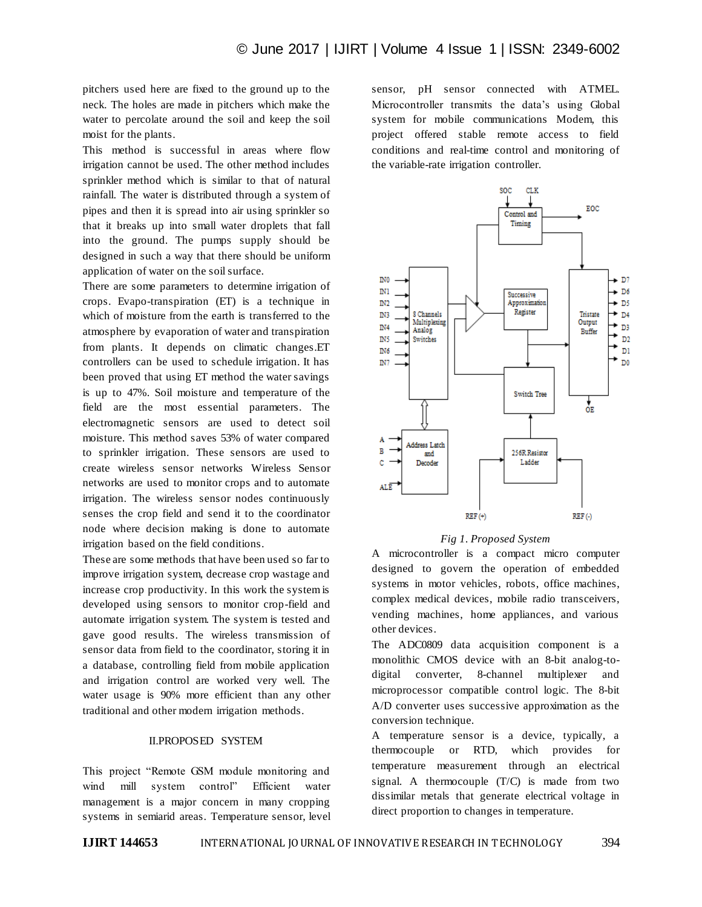pitchers used here are fixed to the ground up to the neck. The holes are made in pitchers which make the water to percolate around the soil and keep the soil moist for the plants.

This method is successful in areas where flow irrigation cannot be used. The other method includes sprinkler method which is similar to that of natural rainfall. The water is distributed through a system of pipes and then it is spread into air using sprinkler so that it breaks up into small water droplets that fall into the ground. The pumps supply should be designed in such a way that there should be uniform application of water on the soil surface.

There are some parameters to determine irrigation of crops. Evapo-transpiration (ET) is a technique in which of moisture from the earth is transferred to the atmosphere by evaporation of water and transpiration from plants. It depends on climatic changes.ET controllers can be used to schedule irrigation. It has been proved that using ET method the water savings is up to 47%. Soil moisture and temperature of the field are the most essential parameters. The electromagnetic sensors are used to detect soil moisture. This method saves 53% of water compared to sprinkler irrigation. These sensors are used to create wireless sensor networks Wireless Sensor networks are used to monitor crops and to automate irrigation. The wireless sensor nodes continuously senses the crop field and send it to the coordinator node where decision making is done to automate irrigation based on the field conditions.

These are some methods that have been used so far to improve irrigation system, decrease crop wastage and increase crop productivity. In this work the system is developed using sensors to monitor crop-field and automate irrigation system. The system is tested and gave good results. The wireless transmission of sensor data from field to the coordinator, storing it in a database, controlling field from mobile application and irrigation control are worked very well. The water usage is 90% more efficient than any other traditional and other modern irrigation methods.

#### II.PROPOSED SYSTEM

This project "Remote GSM module monitoring and wind mill system control" Efficient water management is a major concern in many cropping systems in semiarid areas. Temperature sensor, level sensor, pH sensor connected with ATMEL. Microcontroller transmits the data's using Global system for mobile communications Modem, this project offered stable remote access to field conditions and real-time control and monitoring of the variable-rate irrigation controller.



#### *Fig 1. Proposed System*

A microcontroller is a compact micro computer designed to govern the operation of embedded systems in motor vehicles, robots, office machines, complex medical devices, mobile radio transceivers, vending machines, home appliances, and various other devices.

The ADC0809 data acquisition component is a monolithic CMOS device with an 8-bit analog-todigital converter, 8-channel multiplexer and microprocessor compatible control logic. The 8-bit A/D converter uses successive approximation as the conversion technique.

A temperature sensor is a device, typically, a thermocouple or RTD, which provides for temperature measurement through an electrical signal. A thermocouple (T/C) is made from two dissimilar metals that generate electrical voltage in direct proportion to changes in temperature.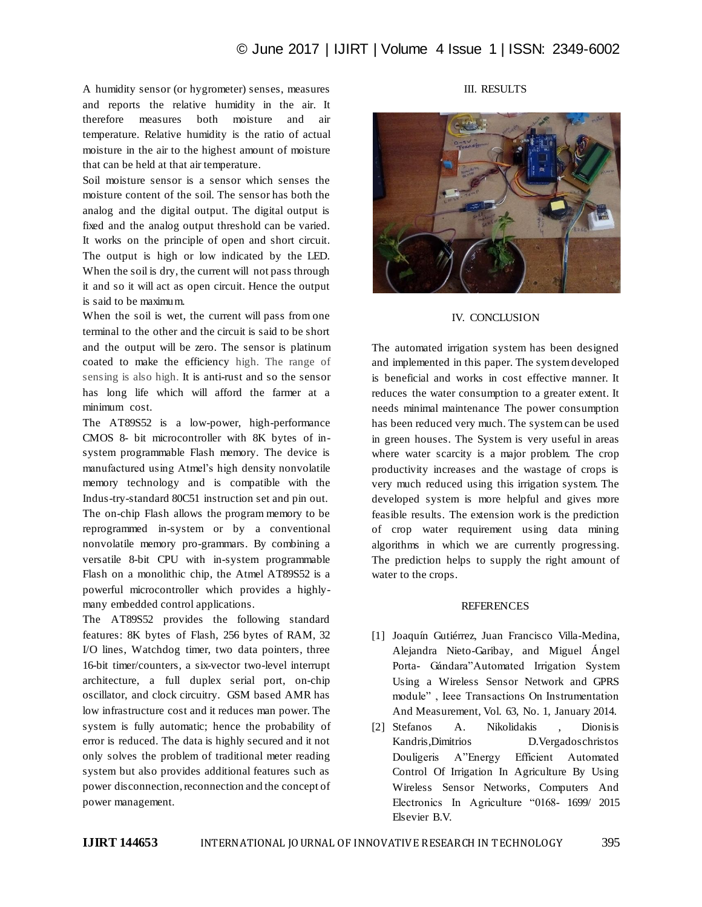A humidity sensor (or hygrometer) senses, measures and reports the relative humidity in the air. It therefore measures both moisture and air temperature. Relative humidity is the ratio of actual moisture in the air to the highest amount of moisture that can be held at that air temperature.

Soil moisture sensor is a sensor which senses the moisture content of the soil. The sensor has both the analog and the digital output. The digital output is fixed and the analog output threshold can be varied. It works on the principle of open and short circuit. The output is high or low indicated by the LED. When the soil is dry, the current will not pass through it and so it will act as open circuit. Hence the output is said to be maximum.

When the soil is wet, the current will pass from one terminal to the other and the circuit is said to be short and the output will be zero. The sensor is platinum coated to make the efficiency high. The range of sensing is also high. It is anti-rust and so the sensor has long life which will afford the farmer at a minimum cost.

The AT89S52 is a low-power, high-performance CMOS 8- bit microcontroller with 8K bytes of insystem programmable Flash memory. The device is manufactured using Atmel's high density nonvolatile memory technology and is compatible with the Indus-try-standard 80C51 instruction set and pin out. The on-chip Flash allows the program memory to be reprogrammed in-system or by a conventional nonvolatile memory pro-grammars. By combining a versatile 8-bit CPU with in-system programmable Flash on a monolithic chip, the Atmel AT89S52 is a powerful microcontroller which provides a highlymany embedded control applications.

The AT89S52 provides the following standard features: 8K bytes of Flash, 256 bytes of RAM, 32 I/O lines, Watchdog timer, two data pointers, three 16-bit timer/counters, a six-vector two-level interrupt architecture, a full duplex serial port, on-chip oscillator, and clock circuitry. GSM based AMR has low infrastructure cost and it reduces man power. The system is fully automatic; hence the probability of error is reduced. The data is highly secured and it not only solves the problem of traditional meter reading system but also provides additional features such as power disconnection, reconnection and the concept of power management.

## III. RESULTS



#### IV. CONCLUSION

The automated irrigation system has been designed and implemented in this paper. The system developed is beneficial and works in cost effective manner. It reduces the water consumption to a greater extent. It needs minimal maintenance The power consumption has been reduced very much. The system can be used in green houses. The System is very useful in areas where water scarcity is a major problem. The crop productivity increases and the wastage of crops is very much reduced using this irrigation system. The developed system is more helpful and gives more feasible results. The extension work is the prediction of crop water requirement using data mining algorithms in which we are currently progressing. The prediction helps to supply the right amount of water to the crops.

### **REFERENCES**

- [1] Joaquín Gutiérrez, Juan Francisco Villa-Medina, Alejandra Nieto-Garibay, and Miguel Ángel Porta- Gándara"Automated Irrigation System Using a Wireless Sensor Network and GPRS module" , Ieee Transactions On Instrumentation And Measurement, Vol. 63, No. 1, January 2014.
- [2] Stefanos A. Nikolidakis , Dionisis Kandris,Dimitrios D.Vergadoschristos Douligeris A"Energy Efficient Automated Control Of Irrigation In Agriculture By Using Wireless Sensor Networks, Computers And Electronics In Agriculture "0168- 1699/ 2015 Elsevier B.V.